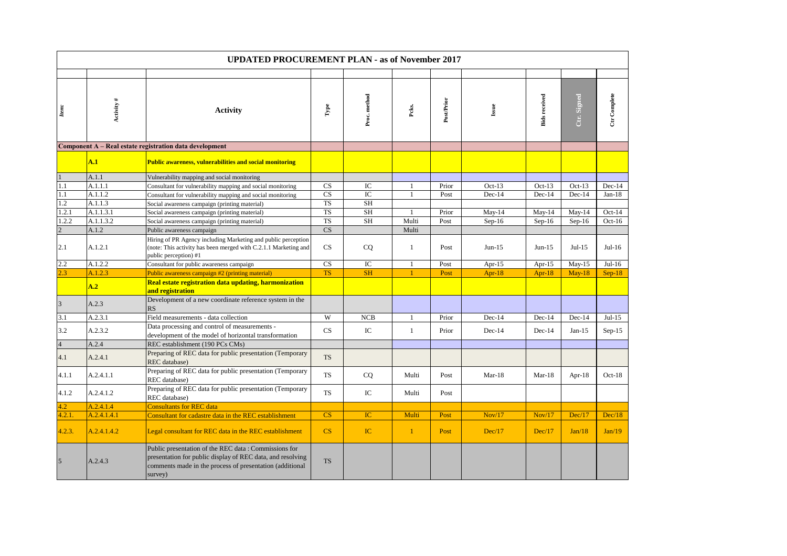|                | <b>UPDATED PROCUREMENT PLAN - as of November 2017</b> |                                                                                                                                                                                           |                        |              |              |            |           |                      |             |              |  |
|----------------|-------------------------------------------------------|-------------------------------------------------------------------------------------------------------------------------------------------------------------------------------------------|------------------------|--------------|--------------|------------|-----------|----------------------|-------------|--------------|--|
|                |                                                       |                                                                                                                                                                                           |                        |              |              |            |           |                      |             |              |  |
| Item:          | Activity #                                            | <b>Activity</b>                                                                                                                                                                           | Гуре                   | Proc. method | Pcks.        | Post/Prior | Issue     | <b>Bids</b> received | Ctr. Signed | Ctr Complete |  |
|                |                                                       | Component A - Real estate registration data development                                                                                                                                   |                        |              |              |            |           |                      |             |              |  |
|                | A.1                                                   | <b>Public awareness, vulnerabilities and social monitoring</b>                                                                                                                            |                        |              |              |            |           |                      |             |              |  |
|                | A.1.1                                                 | Vulnerability mapping and social monitoring                                                                                                                                               |                        |              |              |            |           |                      |             |              |  |
| 1.1            | A.1.1.1                                               | Consultant for vulnerability mapping and social monitoring                                                                                                                                | CS                     | IC           | 1            | Prior      | $Oct-13$  | $Oct-13$             | $Oct-13$    | $Dec-14$     |  |
| 1.1            | A.1.1.2                                               | Consultant for vulnerability mapping and social monitoring                                                                                                                                | CS                     | IC           | $\mathbf{1}$ | Post       | Dec-14    | Dec-14               | Dec-14      | $Jan-18$     |  |
| $1.2\,$        | A.1.1.3                                               | Social awareness campaign (printing material)                                                                                                                                             | <b>TS</b>              | <b>SH</b>    |              |            |           |                      |             |              |  |
| 1.2.1          | A.1.1.3.1                                             | Social awareness campaign (printing material)                                                                                                                                             | <b>TS</b>              | <b>SH</b>    | $\mathbf{1}$ | Prior      | $May-14$  | $May-14$             | $May-14$    | $Oct-14$     |  |
| 1.2.2          | A.1.1.3.2                                             | Social awareness campaign (printing material)                                                                                                                                             | <b>TS</b>              | <b>SH</b>    | Multi        | Post       | $Sep-16$  | $Sep-16$             | $Sep-16$    | $Oct-16$     |  |
| $\overline{2}$ | A.1.2                                                 | Public awareness campaign                                                                                                                                                                 | $\mathbf{C}\mathbf{S}$ |              | Multi        |            |           |                      |             |              |  |
| 2.1            | A.1.2.1                                               | Hiring of PR Agency including Marketing and public perception<br>(note: This activity has been merged with C.2.1.1 Marketing and<br>public perception) #1                                 | CS                     | CQ           | $\mathbf{1}$ | Post       | $Jun-15$  | $Jun-15$             | $Jul-15$    | $Jul-16$     |  |
| 2.2            | A.1.2.2                                               | Consultant for public awareness campaign                                                                                                                                                  | CS                     | IC           | $\mathbf{1}$ | Post       | Apr- $15$ | Apr- $15$            | $May-15$    | $Jul-16$     |  |
| 2.3            | A.1.2.3                                               | Public awareness campaign #2 (printing material)                                                                                                                                          | <b>TS</b>              | <b>SH</b>    | $\mathbf{1}$ | Post       | Apr- $18$ | Apr- $18$            | $May-18$    | $Sep-18$     |  |
|                | A.2                                                   | Real estate registration data updating, harmonization<br>and registration                                                                                                                 |                        |              |              |            |           |                      |             |              |  |
| $\overline{3}$ | A.2.3                                                 | Development of a new coordinate reference system in the<br>RS                                                                                                                             |                        |              |              |            |           |                      |             |              |  |
| 3.1            | A.2.3.1                                               | Field measurements - data collection                                                                                                                                                      | W                      | <b>NCB</b>   | $\mathbf{1}$ | Prior      | $Dec-14$  | $Dec-14$             | $Dec-14$    | $Jul-15$     |  |
| 3.2            | A.2.3.2                                               | Data processing and control of measurements -<br>development of the model of horizontal transformation                                                                                    | CS                     | $_{\rm IC}$  | $\mathbf{1}$ | Prior      | $Dec-14$  | $Dec-14$             | $Jan-15$    | $Sep-15$     |  |
| $\overline{4}$ | A.2.4                                                 | REC establishment (190 PCs CMs)                                                                                                                                                           |                        |              |              |            |           |                      |             |              |  |
| 4.1            | A.2.4.1                                               | Preparing of REC data for public presentation (Temporary<br>REC database)                                                                                                                 | <b>TS</b>              |              |              |            |           |                      |             |              |  |
| 4.1.1          | A.2.4.1.1                                             | Preparing of REC data for public presentation (Temporary<br>REC database)                                                                                                                 | <b>TS</b>              | CQ           | Multi        | Post       | $Mar-18$  | $Mar-18$             | Apr-18      | $Oct-18$     |  |
| 4.1.2          | A.2.4.1.2                                             | Preparing of REC data for public presentation (Temporary<br>REC database)                                                                                                                 | <b>TS</b>              | IC           | Multi        | Post       |           |                      |             |              |  |
| 4.2            | A.2.4.1.4                                             | <b>Consultants for REC data</b>                                                                                                                                                           |                        |              |              |            |           |                      |             |              |  |
| 4.2.1.         | A.2.4.1.4.1                                           | Consultant for cadastre data in the REC establishment                                                                                                                                     | CS                     | IC           | Multi        | Post       | Nov/17    | Nov/17               | Dec/17      | Dec/18       |  |
| 4.2.3.         | A.2.4.1.4.2                                           | Legal consultant for REC data in the REC establishment                                                                                                                                    | $\overline{\text{CS}}$ | IC           | $\mathbf{1}$ | Post       | Dec/17    | Dec/17               | Jan/18      | Jan/19       |  |
| $\overline{5}$ | A.2.4.3                                               | Public presentation of the REC data: Commissions for<br>presentation for public display of REC data, and resolving<br>comments made in the process of presentation (additional<br>survey) | <b>TS</b>              |              |              |            |           |                      |             |              |  |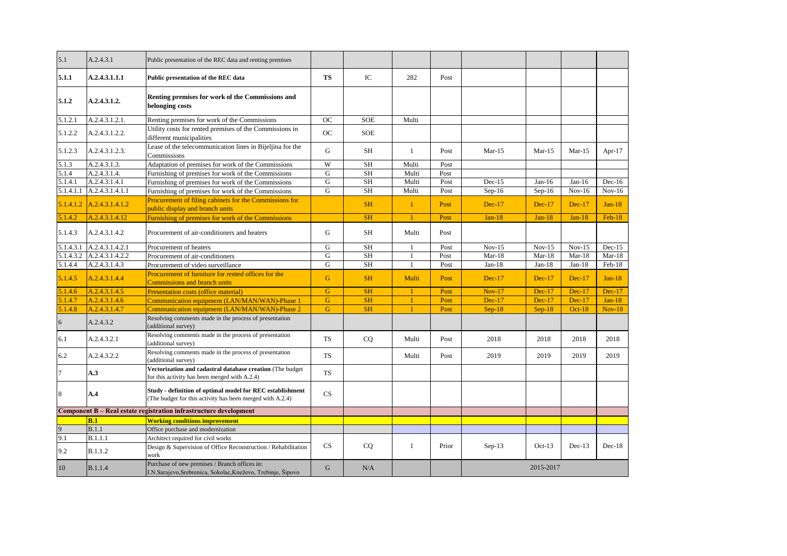| 5.1            | A.2.4.3.1       | Public presentation of the REC data and renting premises                                                               |             |            |              |       |          |           |          |           |
|----------------|-----------------|------------------------------------------------------------------------------------------------------------------------|-------------|------------|--------------|-------|----------|-----------|----------|-----------|
| 5.1.1          | A.2.4.3.1.1.1   | Public presentation of the REC data                                                                                    | <b>TS</b>   | IC         | 282          | Post  |          |           |          |           |
| 5.1.2          | A.2.4.3.1.2.    | Renting premises for work of the Commissions and<br>belonging costs                                                    |             |            |              |       |          |           |          |           |
| 5.1.2.1        | A.2.4.3.1.2.1.  | Renting premises for work of the Commissions                                                                           | <b>OC</b>   | <b>SOE</b> | Multi        |       |          |           |          |           |
| 5.1.2.2        | A.2.4.3.1.2.2.  | Utility costs for rented premises of the Commissions in<br>different municipalities                                    | <b>OC</b>   | <b>SOE</b> |              |       |          |           |          |           |
| 5.1.2.3        | A.2.4.3.1.2.3.  | Lease of the telecommunication lines in Bijeljina for the<br>Commissions                                               | G           | <b>SH</b>  | $\mathbf{1}$ | Post  | $Mar-15$ | $Mar-15$  | $Mar-15$ | Apr- $17$ |
| 5.1.3          | A.2.4.3.1.3.    | Adaptation of premises for work of the Commissions                                                                     | W           | <b>SH</b>  | Multi        | Post  |          |           |          |           |
| 5.1.4          | A.2.4.3.1.4.    | Furnishing of premises for work of the Commissions                                                                     | G           | <b>SH</b>  | Multi        | Post  |          |           |          |           |
| 5.1.4.1        | A.2.4.3.1.4.1   | Furnishing of premises for work of the Commissions                                                                     | G           | <b>SH</b>  | Multi        | Post  | $Dec-15$ | Jan-16    | $Jan-16$ | $Dec-16$  |
| 5.1.4.1.1      | A.2.4.3.1.4.1.1 | Furnishing of premises for work of the Commissions                                                                     | G           | <b>SH</b>  | Multi        | Post  | $Sep-16$ | Sep-16    | $Nov-16$ | $Nov-16$  |
| 5.1.4.1.2      | A.2.4.3.1.4.1.2 | Procurement of filing cabinets for the Commissions for<br>public display and branch units                              |             | <b>SH</b>  | $\mathbf{1}$ | Post  | $Dec-17$ | $Dec-17$  | $Dec-17$ | $Jan-18$  |
| 5.1.4.2        | A.2.4.3.1.4.12  | Furnishing of premises for work of the Commissions                                                                     |             | <b>SH</b>  | $\mathbf{1}$ | Post  | $Jan-18$ | $Jan-18$  | $Jan-18$ | $Feb-18$  |
| 5.1.4.3        | A.2.4.3.1.4.2   | Procurement of air-conditioners and heaters                                                                            | G           | SH         | Multi        | Post  |          |           |          |           |
| 5.1.4.3.1      | A.2.4.3.1.4.2.1 | Procurement of heaters                                                                                                 | G           | <b>SH</b>  | 1            | Post  | $Nov-15$ | $Nov-15$  | $Nov-15$ | $Dec-15$  |
| 5.1.4.3.2      | A.2.4.3.1.4.2.2 | Procurement of air-conditioners                                                                                        | G           | <b>SH</b>  | $\mathbf{1}$ | Post  | Mar-18   | $Mar-18$  | Mar-18   | $Mar-18$  |
| 5.1.4.4        | A.2.4.3.1.4.3   | Procurement of video surveillance                                                                                      | G           | <b>SH</b>  | $\mathbf{1}$ | Post  | $Jan-18$ | $Jan-18$  | $Jan-18$ | $Feb-18$  |
| 5.1.4.5        | A.2.4.3.1.4.4   | Procurement of furniture for rented offices for the<br><b>Commissions and branch units</b>                             | G           | <b>SH</b>  | Multi        | Post  | $Dec-17$ | $Dec-17$  | $Dec-17$ | $Jan-18$  |
| 5.1.4.6        | A.2.4.3.1.4.5   | <b>Presentation costs (office material)</b>                                                                            | G           | <b>SH</b>  | $\mathbf{1}$ | Post  | $Nov-17$ | $Dec-17$  | $Dec-17$ | $Dec-17$  |
| 5.1.4.7        | A.2.4.3.1.4.6   | Communication equipment (LAN/MAN/WAN)-Phase 1                                                                          | $\mathbf G$ | <b>SH</b>  | -1           | Post  | $Dec-17$ | $Dec-17$  | $Dec-17$ | $Jan-18$  |
| 5.1.4.8        | A.2.4.3.1.4.7   | Communication equipment (LAN/MAN/WAN)-Phase 2                                                                          | G           | <b>SH</b>  | $\mathbf{1}$ | Post  | $Sep-18$ | $Sep-18$  | $Oct-18$ | $Nov-18$  |
| 6              | A.2.4.3.2       | Resolving comments made in the process of presentation<br>(additional survey)                                          |             |            |              |       |          |           |          |           |
| 6.1            | A.2.4.3.2.1     | Resolving comments made in the process of presentation<br>(additional survey)                                          | <b>TS</b>   | CQ         | Multi        | Post  | 2018     | 2018      | 2018     | 2018      |
| 6.2            | A.2.4.3.2.2     | Resolving comments made in the process of presentation<br>(additional survey)                                          | <b>TS</b>   |            | Multi        | Post  | 2019     | 2019      | 2019     | 2019      |
| $\overline{7}$ | A.3             | Vectorization and cadastral database creation (The budget<br>for this activity has been merged with A.2.4)             | <b>TS</b>   |            |              |       |          |           |          |           |
| 8              | A.4             | Study - definition of optimal model for REC establishment<br>(The budget for this activity has been merged with A.2.4) | CS          |            |              |       |          |           |          |           |
|                |                 | Component B - Real estate registration infrastructure development                                                      |             |            |              |       |          |           |          |           |
|                | B.1             | <b>Working conditions improvement</b>                                                                                  |             |            |              |       |          |           |          |           |
| 9              | B.1.1           | Office purchase and modernization                                                                                      |             |            |              |       |          |           |          |           |
| 9.1            | B.1.1.1         | Architect required for civil works                                                                                     |             |            |              |       |          |           |          |           |
| 9.2            | <b>B.1.1.2</b>  | Design & Supervision of Office Reconstruction / Rehabilitation<br>work                                                 | CS          | <b>CQ</b>  | 1            | Prior | $Sep-13$ | $Oct-13$  | $Dec-13$ | $Dec-18$  |
| 10             | <b>B.1.1.4</b>  | Purchase of new premises / Branch offices in:<br>I.N. Sarajevo, Srebrenica, Sokolac, Kneževo, Trebinje, Šipovo         | G           | N/A        |              |       |          | 2015-2017 |          |           |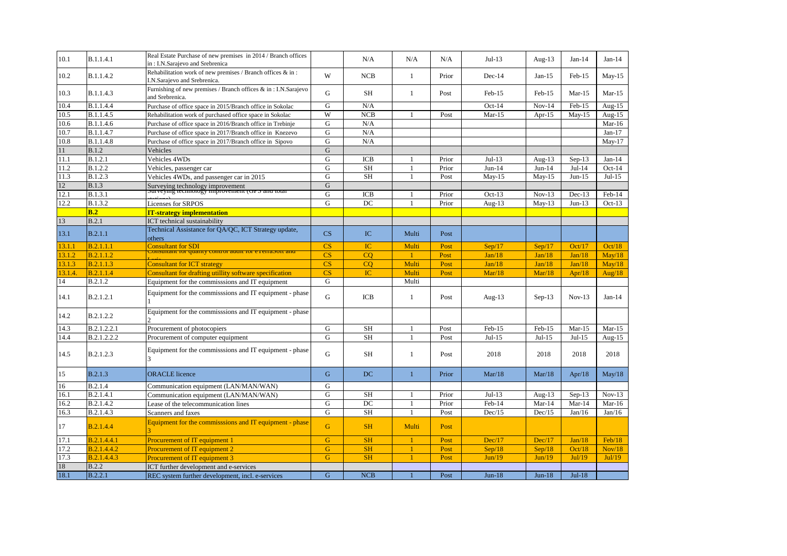| 10.1    | B.1.1.4.1        | Real Estate Purchase of new premises in 2014 / Branch offices<br>in: I.N.Sarajevo and Srebrenica |                        | N/A        | N/A          | N/A   | $Jul-13$  | Aug- $13$ | $Jan-14$ | $Jan-14$  |
|---------|------------------|--------------------------------------------------------------------------------------------------|------------------------|------------|--------------|-------|-----------|-----------|----------|-----------|
| 10.2    | B.1.1.4.2        | Rehabilitation work of new premises / Branch offices & in:<br>I.N.Sarajevo and Srebrenica.       | W                      | <b>NCB</b> | $\mathbf{1}$ | Prior | Dec-14    | $Jan-15$  | Feb-15   | $May-15$  |
| 10.3    | <b>B.1.1.4.3</b> | Furnishing of new premises / Branch offices & in: I.N.Sarajevo<br>and Srebrenica.                | G                      | <b>SH</b>  | $\mathbf{1}$ | Post  | Feb-15    | Feb-15    | $Mar-15$ | $Mar-15$  |
| 10.4    | B.1.1.4.4        | Purchase of office space in 2015/Branch office in Sokolac                                        | G                      | N/A        |              |       | $Oct-14$  | $Nov-14$  | Feb-15   | Aug- $15$ |
| 10.5    | B.1.1.4.5        | Rehabilitation work of purchased office space in Sokolac                                         | W                      | NCB        |              | Post  | $Mar-15$  | Apr- $15$ | $May-15$ | Aug- $15$ |
| 10.6    | B.1.1.4.6        | Purchase of office space in 2016/Branch office in Trebinje                                       | ${\bf G}$              | N/A        |              |       |           |           |          | $Mar-16$  |
| 10.7    | B.1.1.4.7        | Purchase of office space in 2017/Branch office in Knezevo                                        | G                      | N/A        |              |       |           |           |          | $Jan-17$  |
| 10.8    | B.1.1.4.8        | Purchase of office space in 2017/Branch office in Sipovo                                         | ${\bf G}$              | N/A        |              |       |           |           |          | $May-17$  |
| 11      | <b>B.1.2</b>     | Vehicles                                                                                         | $\mathbf G$            |            |              |       |           |           |          |           |
| 11.1    | <b>B.1.2.1</b>   | Vehicles 4WDs                                                                                    | G                      | <b>ICB</b> | 1            | Prior | $Jul-13$  | Aug- $13$ | $Sep-13$ | $Jan-14$  |
| 11.2    | <b>B.1.2.2</b>   | Vehicles, passenger car                                                                          | G                      | <b>SH</b>  | $\mathbf{1}$ | Prior | $Jun-14$  | $Jun-14$  | $Jul-14$ | $Oct-14$  |
| 11.3    | <b>B.1.2.3</b>   | Vehicles 4WDs, and passenger car in 2015                                                         | G                      | <b>SH</b>  | $\mathbf{1}$ | Post  | $May-15$  | $May-15$  | $Jun-15$ | $Jul-15$  |
| 12      | <b>B.1.3</b>     | Surveying technology improvement<br>Surveying technology improvement (Or S and total             | G                      |            |              |       |           |           |          |           |
| 12.1    | B.1.3.1          |                                                                                                  | ${\bf G}$              | <b>ICB</b> | -1           | Prior | $Oct-13$  | $Nov-13$  | $Dec-13$ | Feb-14    |
| 12.2    | B.1.3.2          | Licenses for SRPOS                                                                               | G                      | DC         | $\mathbf{1}$ | Prior | Aug- $13$ | $May-13$  | $Jun-13$ | $Oct-13$  |
|         | B.2              | <b>IT-strategy implementation</b>                                                                |                        |            |              |       |           |           |          |           |
| 13      | B.2.1            | ICT technical sustainability                                                                     |                        |            |              |       |           |           |          |           |
| 13.1    | B.2.1.1          | Technical Assistance for QA/QC, ICT Strategy update,<br>others                                   | $\overline{\text{CS}}$ | IC         | Multi        | Post  |           |           |          |           |
| 13.1.1  | B.2.1.1.1        | <b>Consultant for SDI</b>                                                                        | CS                     | IC         | Multi        | Post  | Sep/17    | Sep/17    | Oct/17   | Oct/18    |
| 13.1.2  | <b>B.2.1.1.2</b> | <u>tonsunant for quanty control auun for e reflabort anu</u>                                     | CS                     | CO         | $\mathbf{1}$ | Post  | Jan/18    | Jan/18    | Jan/18   | May/18    |
| 13.1.3  | <b>B.2.1.1.3</b> | <b>Consultant for ICT strategy</b>                                                               | CS                     | CO         | Multi        | Post  | Jan/18    | Jan/18    | Jan/18   | May/18    |
| 13.1.4. | B.2.1.1.4        | Consultant for drafting utillity software specification                                          | CS                     | IC         | Multi        | Post  | Mar/18    | Mar/18    | Apr/18   | Aug/ $18$ |
| $14\,$  | B.2.1.2          | Equipment for the commisssions and IT equipment                                                  | ${\bf G}$              |            | Multi        |       |           |           |          |           |
| 14.1    | B.2.1.2.1        | Equipment for the commisssions and IT equipment - phase                                          | G                      | ICB        | 1            | Post  | Aug- $13$ | $Sep-13$  | $Nov-13$ | $Jan-14$  |
| 14.2    | B.2.1.2.2        | Equipment for the commisssions and IT equipment - phase                                          |                        |            |              |       |           |           |          |           |
| 14.3    | B.2.1.2.2.1      | Procurement of photocopiers                                                                      | G                      | <b>SH</b>  | 1            | Post  | Feb-15    | Feb-15    | $Mar-15$ | $Mar-15$  |
| 14.4    | B.2.1.2.2.2      | Procurement of computer equipment                                                                | G                      | <b>SH</b>  | $\mathbf{1}$ | Post  | $Jul-15$  | $Jul-15$  | $Jul-15$ | Aug- $15$ |
| 14.5    | B.2.1.2.3        | Equipment for the commisssions and IT equipment - phase                                          | G                      | SH         | 1            | Post  | 2018      | 2018      | 2018     | 2018      |
| 15      | <b>B.2.1.3</b>   | <b>ORACLE</b> licence                                                                            | G                      | DC         | $\mathbf{1}$ | Prior | Mar/18    | Mar/18    | Apr/18   | May/18    |
| 16      | B.2.1.4          | Communication equipment (LAN/MAN/WAN)                                                            | G                      |            |              |       |           |           |          |           |
| 16.1    | B.2.1.4.1        | Communication equipment (LAN/MAN/WAN)                                                            | G                      | <b>SH</b>  | $\mathbf{1}$ | Prior | $Jul-13$  | Aug- $13$ | $Sep-13$ | $Nov-13$  |
| 16.2    | B.2.1.4.2        | Lease of the telecommunication lines                                                             | ${\bf G}$              | DC         | $\mathbf{1}$ | Prior | Feb-14    | $Mar-14$  | Mar-14   | Mar-16    |
| 16.3    | B.2.1.4.3        | Scanners and faxes                                                                               | ${\bf G}$              | <b>SH</b>  | $\mathbf{1}$ | Post  | Dec/15    | Dec/15    | Jan/16   | Jan/16    |
| 17      | B.2.1.4.4        | Equipment for the commisssions and IT equipment - phase                                          | G                      | <b>SH</b>  | Multi        | Post  |           |           |          |           |
| 17.1    | B.2.1.4.4.1      | <b>Procurement of IT equipment 1</b>                                                             | G                      | <b>SH</b>  |              | Post  | Dec/17    | Dec/17    | Jan/18   | Feb/18    |
| 17.2    | B.2.1.4.4.2      | <b>Procurement of IT equipment 2</b>                                                             | G                      | <b>SH</b>  | $\mathbf{1}$ | Post  | Sep/18    | Sep/18    | Oct/18   | Nov/18    |
| 17.3    | B.2.1.4.4.3      | <b>Procurement of IT equipment 3</b>                                                             | G                      | <b>SH</b>  |              | Post  | Jun/19    | Jun/19    | Jul/19   | Jul/19    |
| 18      | <b>B.2.2</b>     | ICT further development and e-services                                                           |                        |            |              |       |           |           |          |           |
| 18.1    | B.2.2.1          | REC system further development, incl. e-services                                                 | G                      | <b>NCB</b> |              | Post  | $Jun-18$  | $Jun-18$  | $Jul-18$ |           |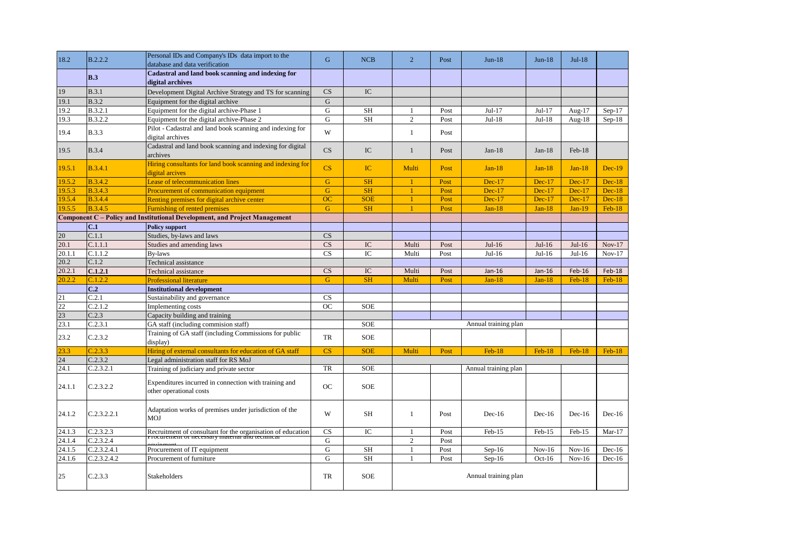| 18.2   | B.2.2.2         | Personal IDs and Company's IDs data import to the<br>database and data verification                            | G                      | <b>NCB</b>  | $\overline{2}$       | Post | $Jun-18$             | $Jun-18$ | $Jul-18$ |          |  |
|--------|-----------------|----------------------------------------------------------------------------------------------------------------|------------------------|-------------|----------------------|------|----------------------|----------|----------|----------|--|
|        | B.3             | Cadastral and land book scanning and indexing for<br>digital archives                                          |                        |             |                      |      |                      |          |          |          |  |
| 19     | B.3.1           | Development Digital Archive Strategy and TS for scanning                                                       | CS                     | IC          |                      |      |                      |          |          |          |  |
| 19.1   | <b>B.3.2</b>    | Equipment for the digital archive                                                                              | $\mathbf G$            |             |                      |      |                      |          |          |          |  |
| 19.2   | B.3.2.1         | Equipment for the digital archive-Phase 1                                                                      | G                      | <b>SH</b>   | 1                    | Post | $Jul-17$             | $Jul-17$ | Aug-17   | $Sep-17$ |  |
| 19.3   | B.3.2.2         | Equipment for the digital archive-Phase 2                                                                      | G                      | SH          | $\overline{c}$       | Post | $Jul-18$             | $Jul-18$ | Aug-18   | $Sep-18$ |  |
| 19.4   | <b>B.3.3</b>    | Pilot - Cadastral and land book scanning and indexing for<br>digital archives                                  | W                      |             | $\mathbf{1}$         | Post |                      |          |          |          |  |
| 19.5   | <b>B.3.4</b>    | Cadastral and land book scanning and indexing for digital<br>archives                                          | CS                     | IC          | $\mathbf{1}$         | Post | $Jan-18$             | $Jan-18$ | $Feb-18$ |          |  |
| 19.5.1 | <b>B.3.4.1</b>  | Hiring consultants for land book scanning and indexing for<br>digital arcives                                  | $\overline{\text{CS}}$ | IC          | Multi                | Post | $Jan-18$             | $Jan-18$ | $Jan-18$ | $Dec-19$ |  |
| 19.5.2 | <b>B.3.4.2</b>  | Lease of telecommunication lines                                                                               | $\mathbf G$            | <b>SH</b>   | $\mathbf{1}$         | Post | $Dec-17$             | $Dec-17$ | $Dec-17$ | $Dec-18$ |  |
| 19.5.3 | <b>B.3.4.3</b>  | Procurement of communication equipment                                                                         | G                      | <b>SH</b>   | $\mathbf{1}$         | Post | $Dec-17$             | $Dec-17$ | $Dec-17$ | $Dec-18$ |  |
| 19.5.4 | <b>B.3.4.4</b>  | Renting premises for digital archive center                                                                    | OC                     | <b>SOE</b>  | $\mathbf{1}$         | Post | $Dec-17$             | $Dec-17$ | $Dec-17$ | $Dec-18$ |  |
| 19.5.5 | <b>B.3.4.5</b>  | Furnishing of rented premises                                                                                  | $\mathbf G$            | <b>SH</b>   | $\overline{1}$       | Post | $Jan-18$             | $Jan-18$ | $Jan-19$ | $Feb-18$ |  |
|        |                 | Component C - Policy and Institutional Development, and Project Management                                     |                        |             |                      |      |                      |          |          |          |  |
|        | C.1             | <b>Policy support</b>                                                                                          |                        |             |                      |      |                      |          |          |          |  |
| 20     | C.1.1           | Studies, by-laws and laws                                                                                      | CS                     |             |                      |      |                      |          |          |          |  |
| 20.1   | C.1.1.1         | Studies and amending laws                                                                                      | CS                     | IC          | Multi                | Post | $Jul-16$             | $Jul-16$ | $Jul-16$ | $Nov-17$ |  |
| 20.1.1 | C.1.1.2         | <b>By-laws</b>                                                                                                 | CS                     | $_{\rm IC}$ | Multi                | Post | $Jul-16$             | $Jul-16$ | $Jul-16$ | $Nov-17$ |  |
| 20.2   | C.1.2           | Technical assistance                                                                                           |                        |             |                      |      |                      |          |          |          |  |
| 20.2.1 | C.1.2.1         | Technical assistance                                                                                           | CS                     | IC          | Multi                | Post | Jan-16               | $Jan-16$ | Feb-16   | $Feb-18$ |  |
| 20.2.2 | C.1.2.2         | <b>Professional literature</b>                                                                                 | G                      | <b>SH</b>   | Multi                | Post | $Jan-18$             | $Jan-18$ | $Feb-18$ | $Feb-18$ |  |
|        | C <sub>12</sub> | <b>Institutional development</b>                                                                               |                        |             |                      |      |                      |          |          |          |  |
| 21     | C.2.1           | Sustainability and governance                                                                                  | CS                     |             |                      |      |                      |          |          |          |  |
| 22     | C.2.1.2         | Implementing costs                                                                                             | <b>OC</b>              | <b>SOE</b>  |                      |      |                      |          |          |          |  |
| 23     | C.2.3           | Capacity building and training                                                                                 |                        |             |                      |      |                      |          |          |          |  |
| 23.1   | C.2.3.1         | GA staff (including commision staff)                                                                           |                        | <b>SOE</b>  | Annual training plan |      |                      |          |          |          |  |
| 23.2   | C.2.3.2         | Training of GA staff (including Commissions for public<br>display)                                             | TR                     | <b>SOE</b>  |                      |      |                      |          |          |          |  |
| 23.3   | C.2.3.3         | Hiring of external consultants for education of GA staff                                                       | CS                     | <b>SOE</b>  | Multi                | Post | $Feb-18$             | Feb-18   | $Feb-18$ | $Feb-18$ |  |
| 24     | C.2.3.2         | Legal administration staff for RS MoJ                                                                          |                        |             |                      |      |                      |          |          |          |  |
| 24.1   | C.2.3.2.1       | Training of judiciary and private sector                                                                       | <b>TR</b>              | <b>SOE</b>  |                      |      | Annual training plan |          |          |          |  |
| 24.1.1 | C.2.3.2.2       | Expenditures incurred in connection with training and<br>other operational costs                               | <b>OC</b>              | <b>SOE</b>  |                      |      |                      |          |          |          |  |
| 24.1.2 | C.2.3.2.2.1     | Adaptation works of premises under jurisdiction of the<br><b>MOJ</b>                                           | W                      | SH          | 1                    | Post | $Dec-16$             | $Dec-16$ | $Dec-16$ | $Dec-16$ |  |
| 24.1.3 | C.2.3.2.3       | Recruitment of consultant for the organisation of education<br>Procurement or necessary material and technical | CS                     | IC          | 1                    | Post | Feb-15               | Feb-15   | Feb-15   | $Mar-17$ |  |
| 24.1.4 | C.2.3.2.4       |                                                                                                                | G                      |             | $\sqrt{2}$           | Post |                      |          |          |          |  |
| 24.1.5 | C.2.3.2.4.1     | Procurement of IT equipment                                                                                    | G                      | SH          | $\mathbf{1}$         | Post | $Sep-16$             | $Nov-16$ | $Nov-16$ | $Dec-16$ |  |
| 24.1.6 | C.2.3.2.4.2     | Procurement of furniture                                                                                       | G                      | <b>SH</b>   | $\mathbf{1}$         | Post | $Sep-16$             | $Oct-16$ | $Nov-16$ | $Dec-16$ |  |
| 25     | C.2.3.3         | Stakeholders                                                                                                   | <b>TR</b>              | <b>SOE</b>  | Annual training plan |      |                      |          |          |          |  |